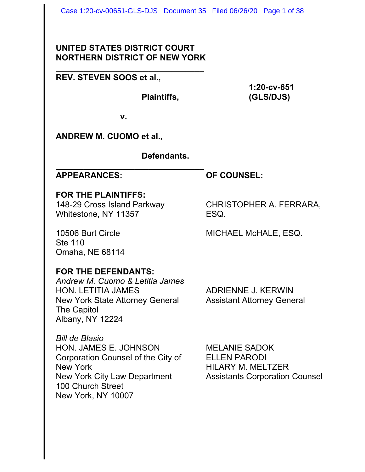# **UNITED STATES DISTRICT COURT NORTHERN DISTRICT OF NEW YORK**

**\_\_\_\_\_\_\_\_\_\_\_\_\_\_\_\_\_\_\_\_\_\_\_\_\_\_\_\_\_\_\_\_**

# **REV. STEVEN SOOS et al.,**

**1:20-cv-651 Plaintiffs, (GLS/DJS)**

**v.**

**ANDREW M. CUOMO et al.,**

**Defendants.**

#### **\_\_\_\_\_\_\_\_\_\_\_\_\_\_\_\_\_\_\_\_\_\_\_\_\_\_\_\_\_\_\_\_ APPEARANCES: OF COUNSEL:**

# **FOR THE PLAINTIFFS:**

148-29 Cross Island Parkway CHRISTOPHER A. FERRARA, Whitestone, NY 11357 ESQ.

Ste 110 Omaha, NE 68114

10506 Burt Circle **MICHAEL McHALE, ESQ.** 

# **FOR THE DEFENDANTS:**

*Andrew M. Cuomo & Letitia James* HON. LETITIA JAMES ADRIENNE J. KERWIN New York State Attorney General Assistant Attorney General The Capitol Albany, NY 12224

*Bill de Blasio* HON. JAMES E. JOHNSON MELANIE SADOK Corporation Counsel of the City of ELLEN PARODI New York **New York 1988** Service Structure HILARY M. MELTZER New York City Law Department Assistants Corporation Counsel 100 Church Street New York, NY 10007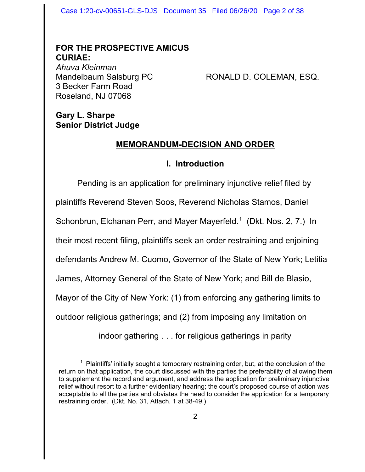Case 1:20-cv-00651-GLS-DJS Document 35 Filed 06/26/20 Page 2 of 38

# **FOR THE PROSPECTIVE AMICUS CURIAE:**

*Ahuva Kleinman* 3 Becker Farm Road Roseland, NJ 07068

RONALD D. COLEMAN, ESQ.

# **Gary L. Sharpe Senior District Judge**

# **MEMORANDUM-DECISION AND ORDER**

# **I. Introduction**

Pending is an application for preliminary injunctive relief filed by plaintiffs Reverend Steven Soos, Reverend Nicholas Stamos, Daniel Schonbrun, Elchanan Perr, and Mayer Mayerfeld.<sup>1</sup> (Dkt. Nos. 2, 7.) In their most recent filing, plaintiffs seek an order restraining and enjoining defendants Andrew M. Cuomo, Governor of the State of New York; Letitia James, Attorney General of the State of New York; and Bill de Blasio, Mayor of the City of New York: (1) from enforcing any gathering limits to outdoor religious gatherings; and (2) from imposing any limitation on indoor gathering . . . for religious gatherings in parity

<sup>&</sup>lt;sup>1</sup> Plaintiffs' initially sought a temporary restraining order, but, at the conclusion of the return on that application, the court discussed with the parties the preferability of allowing them to supplement the record and argument, and address the application for preliminary injunctive relief without resort to a further evidentiary hearing; the court's proposed course of action was acceptable to all the parties and obviates the need to consider the application for a temporary restraining order. (Dkt. No. 31, Attach. 1 at 38-49.)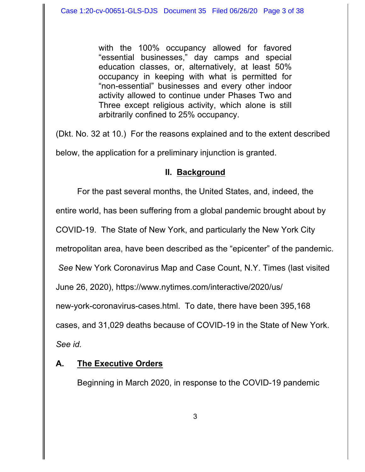with the 100% occupancy allowed for favored "essential businesses," day camps and special education classes, or, alternatively, at least 50% occupancy in keeping with what is permitted for "non-essential" businesses and every other indoor activity allowed to continue under Phases Two and Three except religious activity, which alone is still arbitrarily confined to 25% occupancy.

(Dkt. No. 32 at 10.) For the reasons explained and to the extent described below, the application for a preliminary injunction is granted.

## **II. Background**

For the past several months, the United States, and, indeed, the

entire world, has been suffering from a global pandemic brought about by

COVID-19. The State of New York, and particularly the New York City

metropolitan area, have been described as the "epicenter" of the pandemic.

 *See* New York Coronavirus Map and Case Count, N.Y. Times (last visited

June 26, 2020), https://www.nytimes.com/interactive/2020/us/

new-york-coronavirus-cases.html. To date, there have been 395,168

cases, and 31,029 deaths because of COVID-19 in the State of New York.

*See id.*

# **A. The Executive Orders**

Beginning in March 2020, in response to the COVID-19 pandemic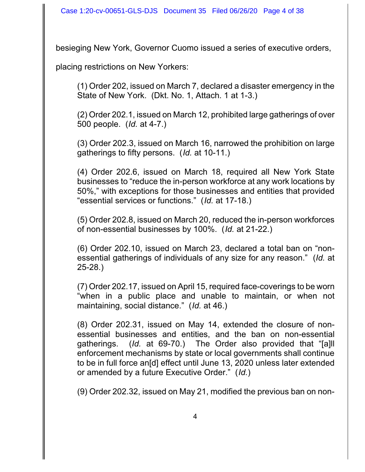besieging New York, Governor Cuomo issued a series of executive orders,

placing restrictions on New Yorkers:

(1) Order 202, issued on March 7, declared a disaster emergency in the State of New York. (Dkt. No. 1, Attach. 1 at 1-3.)

(2) Order 202.1, issued on March 12, prohibited large gatherings of over 500 people. (*Id.* at 4-7.)

(3) Order 202.3, issued on March 16, narrowed the prohibition on large gatherings to fifty persons. (*Id.* at 10-11.)

(4) Order 202.6, issued on March 18, required all New York State businesses to "reduce the in-person workforce at any work locations by 50%," with exceptions for those businesses and entities that provided "essential services or functions." (*Id.* at 17-18.)

(5) Order 202.8, issued on March 20, reduced the in-person workforces of non-essential businesses by 100%. (*Id.* at 21-22.)

(6) Order 202.10, issued on March 23, declared a total ban on "nonessential gatherings of individuals of any size for any reason." (*Id.* at 25-28.)

(7) Order 202.17, issued on April 15, required face-coverings to be worn "when in a public place and unable to maintain, or when not maintaining, social distance." (*Id.* at 46.)

(8) Order 202.31, issued on May 14, extended the closure of nonessential businesses and entities, and the ban on non-essential gatherings. (*Id.* at 69-70.) The Order also provided that "[a]ll enforcement mechanisms by state or local governments shall continue to be in full force an[d] effect until June 13, 2020 unless later extended or amended by a future Executive Order." (*Id.*)

(9) Order 202.32, issued on May 21, modified the previous ban on non-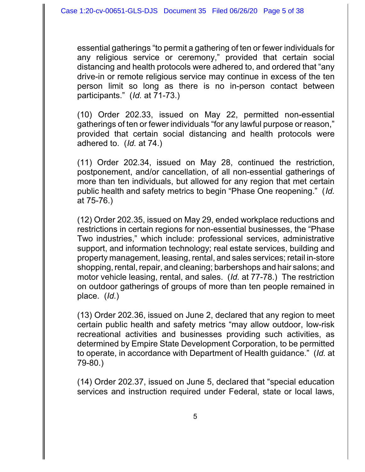essential gatherings "to permit a gathering of ten or fewer individuals for any religious service or ceremony," provided that certain social distancing and health protocols were adhered to, and ordered that "any drive-in or remote religious service may continue in excess of the ten person limit so long as there is no in-person contact between participants." (*Id.* at 71-73.)

(10) Order 202.33, issued on May 22, permitted non-essential gatherings of ten or fewer individuals "for any lawful purpose or reason," provided that certain social distancing and health protocols were adhered to. (*Id.* at 74.)

(11) Order 202.34, issued on May 28, continued the restriction, postponement, and/or cancellation, of all non-essential gatherings of more than ten individuals, but allowed for any region that met certain public health and safety metrics to begin "Phase One reopening." (*Id.* at 75-76.)

(12) Order 202.35, issued on May 29, ended workplace reductions and restrictions in certain regions for non-essential businesses, the "Phase Two industries," which include: professional services, administrative support, and information technology; real estate services, building and property management, leasing, rental, and sales services; retail in-store shopping, rental, repair, and cleaning; barbershops and hair salons; and motor vehicle leasing, rental, and sales. (*Id.* at 77-78.) The restriction on outdoor gatherings of groups of more than ten people remained in place. (*Id.*)

(13) Order 202.36, issued on June 2, declared that any region to meet certain public health and safety metrics "may allow outdoor, low-risk recreational activities and businesses providing such activities, as determined by Empire State Development Corporation, to be permitted to operate, in accordance with Department of Health guidance." (*Id.* at 79-80.)

(14) Order 202.37, issued on June 5, declared that "special education services and instruction required under Federal, state or local laws,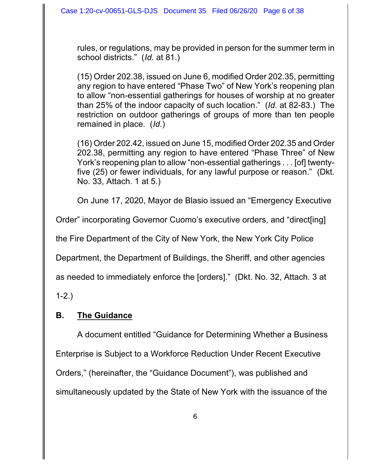rules, or regulations, may be provided in person for the summer term in school districts." (*Id.* at 81.)

(15) Order 202.38, issued on June 6, modified Order 202.35, permitting any region to have entered "Phase Two" of New York's reopening plan to allow "non-essential gatherings for houses of worship at no greater than 25% of the indoor capacity of such location." (*Id.* at 82-83.) The restriction on outdoor gatherings of groups of more than ten people remained in place. (*Id.*)

(16) Order 202.42, issued on June 15, modified Order 202.35 and Order 202.38, permitting any region to have entered "Phase Three" of New York's reopening plan to allow "non-essential gatherings . . . [of] twentyfive (25) or fewer individuals, for any lawful purpose or reason." (Dkt. No. 33, Attach. 1 at 5.)

On June 17, 2020, Mayor de Blasio issued an "Emergency Executive

Order" incorporating Governor Cuomo's executive orders, and "direct[ing]

the Fire Department of the City of New York, the New York City Police

Department, the Department of Buildings, the Sheriff, and other agencies

as needed to immediately enforce the [orders]." (Dkt. No. 32, Attach. 3 at

1-2.)

# **B. The Guidance**

A document entitled "Guidance for Determining Whether a Business Enterprise is Subject to a Workforce Reduction Under Recent Executive Orders," (hereinafter, the "Guidance Document"), was published and simultaneously updated by the State of New York with the issuance of the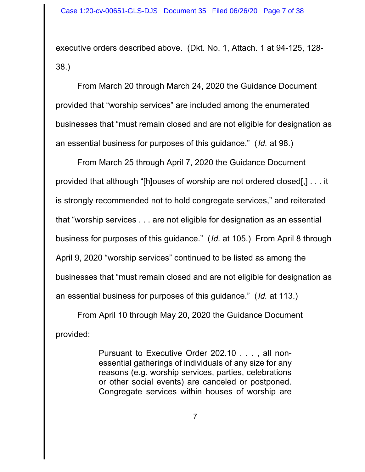executive orders described above. (Dkt. No. 1, Attach. 1 at 94-125, 128- 38.)

From March 20 through March 24, 2020 the Guidance Document provided that "worship services" are included among the enumerated businesses that "must remain closed and are not eligible for designation as an essential business for purposes of this guidance." (*Id.* at 98.)

From March 25 through April 7, 2020 the Guidance Document provided that although "[h]ouses of worship are not ordered closed[,] . . . it is strongly recommended not to hold congregate services," and reiterated that "worship services . . . are not eligible for designation as an essential business for purposes of this guidance." (*Id.* at 105.) From April 8 through April 9, 2020 "worship services" continued to be listed as among the businesses that "must remain closed and are not eligible for designation as an essential business for purposes of this guidance." (*Id.* at 113.)

From April 10 through May 20, 2020 the Guidance Document provided:

> Pursuant to Executive Order 202.10 . . . , all nonessential gatherings of individuals of any size for any reasons (e.g. worship services, parties, celebrations or other social events) are canceled or postponed. Congregate services within houses of worship are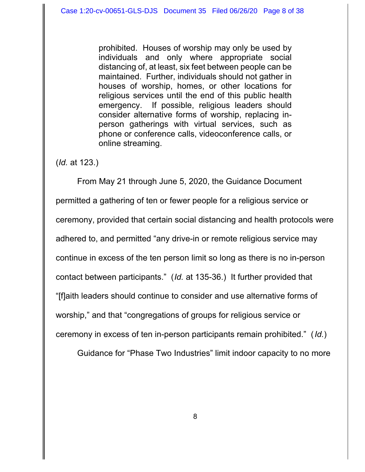prohibited. Houses of worship may only be used by individuals and only where appropriate social distancing of, at least, six feet between people can be maintained. Further, individuals should not gather in houses of worship, homes, or other locations for religious services until the end of this public health emergency. If possible, religious leaders should consider alternative forms of worship, replacing inperson gatherings with virtual services, such as phone or conference calls, videoconference calls, or online streaming.

(*Id.* at 123.)

From May 21 through June 5, 2020, the Guidance Document permitted a gathering of ten or fewer people for a religious service or ceremony, provided that certain social distancing and health protocols were adhered to, and permitted "any drive-in or remote religious service may continue in excess of the ten person limit so long as there is no in-person contact between participants." (*Id.* at 135-36.) It further provided that "[f]aith leaders should continue to consider and use alternative forms of worship," and that "congregations of groups for religious service or ceremony in excess of ten in-person participants remain prohibited." (*Id.*)

Guidance for "Phase Two Industries" limit indoor capacity to no more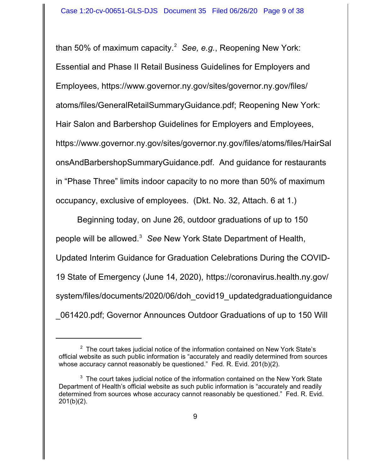than 50% of maximum capacity.<sup>2</sup> *See, e.g.*, Reopening New York: Essential and Phase II Retail Business Guidelines for Employers and Employees, https://www.governor.ny.gov/sites/governor.ny.gov/files/ atoms/files/GeneralRetailSummaryGuidance.pdf; Reopening New York: Hair Salon and Barbershop Guidelines for Employers and Employees, https://www.governor.ny.gov/sites/governor.ny.gov/files/atoms/files/HairSal onsAndBarbershopSummaryGuidance.pdf. And guidance for restaurants in "Phase Three" limits indoor capacity to no more than 50% of maximum occupancy, exclusive of employees. (Dkt. No. 32, Attach. 6 at 1.)

Beginning today, on June 26, outdoor graduations of up to 150 people will be allowed.<sup>3</sup> *See* New York State Department of Health, Updated Interim Guidance for Graduation Celebrations During the COVID-19 State of Emergency (June 14, 2020), https://coronavirus.health.ny.gov/ system/files/documents/2020/06/doh covid19 updatedgraduationguidance \_061420.pdf; Governor Announces Outdoor Graduations of up to 150 Will

 $2$  The court takes judicial notice of the information contained on New York State's official website as such public information is "accurately and readily determined from sources whose accuracy cannot reasonably be questioned." Fed. R. Evid. 201(b)(2).

 $3$  The court takes judicial notice of the information contained on the New York State Department of Health's official website as such public information is "accurately and readily determined from sources whose accuracy cannot reasonably be questioned." Fed. R. Evid. 201(b)(2).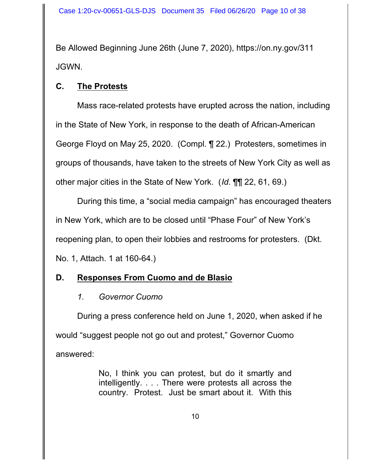Be Allowed Beginning June 26th (June 7, 2020), https://on.ny.gov/311 JGWN.

# **C. The Protests**

Mass race-related protests have erupted across the nation, including in the State of New York, in response to the death of African-American George Floyd on May 25, 2020. (Compl. ¶ 22.) Protesters, sometimes in groups of thousands, have taken to the streets of New York City as well as other major cities in the State of New York. (*Id.* ¶¶ 22, 61, 69.)

During this time, a "social media campaign" has encouraged theaters in New York, which are to be closed until "Phase Four" of New York's reopening plan, to open their lobbies and restrooms for protesters. (Dkt. No. 1, Attach. 1 at 160-64.)

# **D. Responses From Cuomo and de Blasio**

*1. Governor Cuomo*

During a press conference held on June 1, 2020, when asked if he would "suggest people not go out and protest," Governor Cuomo answered:

> No, I think you can protest, but do it smartly and intelligently. . . . There were protests all across the country. Protest. Just be smart about it. With this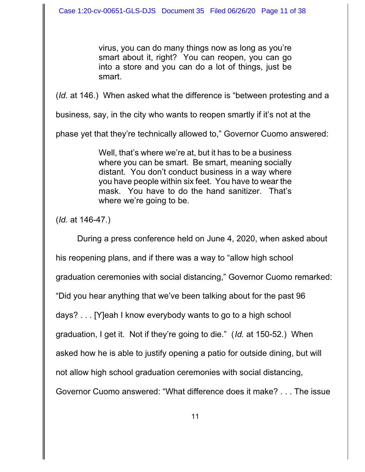virus, you can do many things now as long as you're smart about it, right? You can reopen, you can go into a store and you can do a lot of things, just be smart.

(*Id.* at 146.) When asked what the difference is "between protesting and a

business*,* say, in the city who wants to reopen smartly if it's not at the

phase yet that they're technically allowed to," Governor Cuomo answered:

Well, that's where we're at, but it has to be a business where you can be smart. Be smart, meaning socially distant. You don't conduct business in a way where you have people within six feet. You have to wear the mask. You have to do the hand sanitizer. That's where we're going to be.

(*Id.* at 146-47.)

During a press conference held on June 4, 2020, when asked about his reopening plans, and if there was a way to "allow high school graduation ceremonies with social distancing," Governor Cuomo remarked: "Did you hear anything that we've been talking about for the past 96 days? . . . [Y]eah I know everybody wants to go to a high school graduation, I get it. Not if they're going to die." (*Id.* at 150-52.) When asked how he is able to justify opening a patio for outside dining, but will not allow high school graduation ceremonies with social distancing, Governor Cuomo answered: "What difference does it make? . . . The issue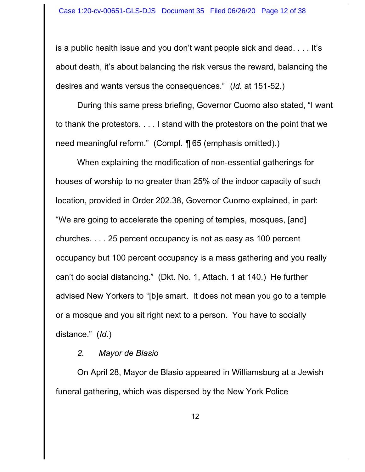is a public health issue and you don't want people sick and dead. . . . It's about death, it's about balancing the risk versus the reward, balancing the desires and wants versus the consequences."(*Id.* at 151-52.)

During this same press briefing, Governor Cuomo also stated, "I want to thank the protestors. . . . I stand with the protestors on the point that we need meaningful reform." (Compl. *¶* 65 (emphasis omitted).)

When explaining the modification of non-essential gatherings for houses of worship to no greater than 25% of the indoor capacity of such location, provided in Order 202.38, Governor Cuomo explained, in part: "We are going to accelerate the opening of temples, mosques, [and] churches. . . . 25 percent occupancy is not as easy as 100 percent occupancy but 100 percent occupancy is a mass gathering and you really can't do social distancing." (Dkt. No. 1, Attach. 1 at 140.) He further advised New Yorkers to "[b]e smart. It does not mean you go to a temple or a mosque and you sit right next to a person. You have to socially distance." (*Id.*)

#### *2. Mayor de Blasio*

On April 28, Mayor de Blasio appeared in Williamsburg at a Jewish funeral gathering, which was dispersed by the New York Police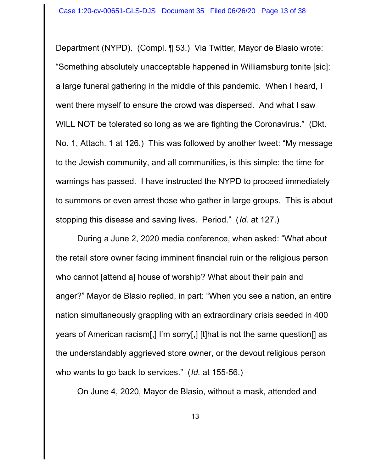Department (NYPD). (Compl. ¶ 53.) Via Twitter, Mayor de Blasio wrote: "Something absolutely unacceptable happened in Williamsburg tonite [sic]: a large funeral gathering in the middle of this pandemic. When I heard, I went there myself to ensure the crowd was dispersed. And what I saw WILL NOT be tolerated so long as we are fighting the Coronavirus." (Dkt. No. 1, Attach. 1 at 126.) This was followed by another tweet: "My message to the Jewish community, and all communities, is this simple: the time for warnings has passed. I have instructed the NYPD to proceed immediately to summons or even arrest those who gather in large groups. This is about stopping this disease and saving lives. Period." (*Id.* at 127.)

During a June 2, 2020 media conference, when asked: "What about the retail store owner facing imminent financial ruin or the religious person who cannot [attend a] house of worship? What about their pain and anger?" Mayor de Blasio replied, in part: "When you see a nation, an entire nation simultaneously grappling with an extraordinary crisis seeded in 400 years of American racism[,] I'm sorry[,] [t]hat is not the same question[] as the understandably aggrieved store owner, or the devout religious person who wants to go back to services." (*Id.* at 155-56.)

On June 4, 2020, Mayor de Blasio, without a mask, attended and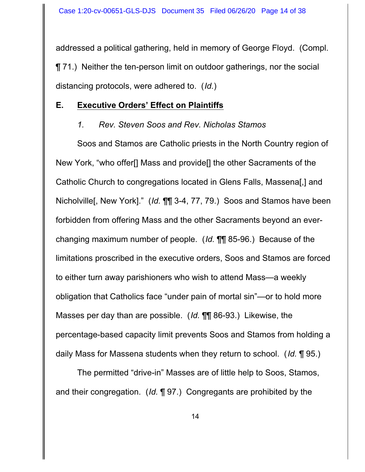addressed a political gathering, held in memory of George Floyd. (Compl. ¶ 71.) Neither the ten-person limit on outdoor gatherings, nor the social distancing protocols, were adhered to. (*Id.*)

#### **E. Executive Orders' Effect on Plaintiffs**

# *1. Rev. Steven Soos and Rev. Nicholas Stamos*

Soos and Stamos are Catholic priests in the North Country region of New York, "who offer[] Mass and provide[] the other Sacraments of the Catholic Church to congregations located in Glens Falls, Massena[,] and Nicholville[, New York]." (*Id.* ¶¶ 3-4, 77, 79.) Soos and Stamos have been forbidden from offering Mass and the other Sacraments beyond an everchanging maximum number of people. (*Id.* ¶¶ 85-96.) Because of the limitations proscribed in the executive orders, Soos and Stamos are forced to either turn away parishioners who wish to attend Mass—a weekly obligation that Catholics face "under pain of mortal sin"—or to hold more Masses per day than are possible. (*Id.* ¶¶ 86-93.) Likewise, the percentage-based capacity limit prevents Soos and Stamos from holding a daily Mass for Massena students when they return to school. (*Id.* ¶ 95.)

The permitted "drive-in" Masses are of little help to Soos, Stamos, and their congregation. (*Id.* ¶ 97.) Congregants are prohibited by the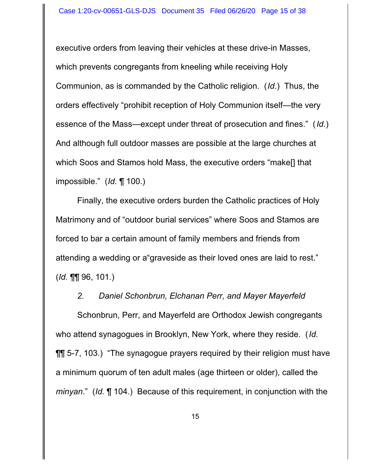executive orders from leaving their vehicles at these drive-in Masses, which prevents congregants from kneeling while receiving Holy Communion, as is commanded by the Catholic religion. (*Id.*) Thus, the orders effectively "prohibit reception of Holy Communion itself—the very essence of the Mass—except under threat of prosecution and fines." (*Id.*) And although full outdoor masses are possible at the large churches at which Soos and Stamos hold Mass, the executive orders "make[] that impossible." (*Id.* ¶ 100.)

Finally, the executive orders burden the Catholic practices of Holy Matrimony and of "outdoor burial services" where Soos and Stamos are forced to bar a certain amount of family members and friends from attending a wedding or a"graveside as their loved ones are laid to rest." (*Id.* ¶¶ 96, 101.)

#### *2. Daniel Schonbrun, Elchanan Perr, and Mayer Mayerfeld*

Schonbrun, Perr, and Mayerfeld are Orthodox Jewish congregants who attend synagogues in Brooklyn, New York, where they reside. (*Id.* **TH** 5-7, 103.) "The synagogue prayers required by their religion must have a minimum quorum of ten adult males (age thirteen or older), called the *minyan*." (*Id.* ¶ 104.) Because of this requirement, in conjunction with the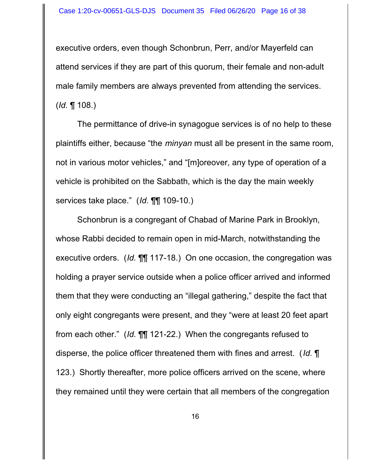executive orders, even though Schonbrun, Perr, and/or Mayerfeld can attend services if they are part of this quorum, their female and non-adult male family members are always prevented from attending the services. (*Id.* ¶ 108.)

The permittance of drive-in synagogue services is of no help to these plaintiffs either, because "the *minyan* must all be present in the same room, not in various motor vehicles," and "[m]oreover, any type of operation of a vehicle is prohibited on the Sabbath, which is the day the main weekly services take place." (*Id.* ¶¶ 109-10.)

Schonbrun is a congregant of Chabad of Marine Park in Brooklyn, whose Rabbi decided to remain open in mid-March, notwithstanding the executive orders. (*Id.* ¶¶ 117-18.) On one occasion, the congregation was holding a prayer service outside when a police officer arrived and informed them that they were conducting an "illegal gathering," despite the fact that only eight congregants were present, and they "were at least 20 feet apart from each other." (*Id.* ¶¶ 121-22.) When the congregants refused to disperse, the police officer threatened them with fines and arrest. (*Id.* ¶ 123.) Shortly thereafter, more police officers arrived on the scene, where they remained until they were certain that all members of the congregation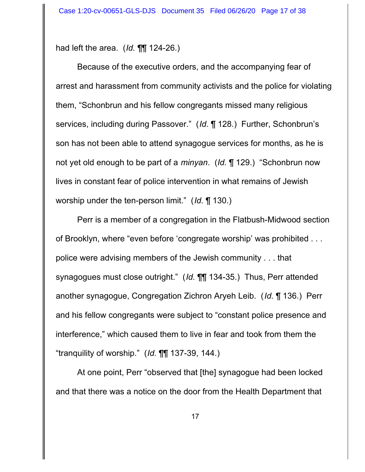had left the area. (*Id.* ¶¶ 124-26.)

Because of the executive orders, and the accompanying fear of arrest and harassment from community activists and the police for violating them, "Schonbrun and his fellow congregants missed many religious services, including during Passover." (*Id.* ¶ 128.) Further, Schonbrun's son has not been able to attend synagogue services for months, as he is not yet old enough to be part of a *minyan*. (*Id.* ¶ 129.) "Schonbrun now lives in constant fear of police intervention in what remains of Jewish worship under the ten-person limit." (*Id.* ¶ 130.)

Perr is a member of a congregation in the Flatbush-Midwood section of Brooklyn, where "even before 'congregate worship' was prohibited . . . police were advising members of the Jewish community . . . that synagogues must close outright." (*Id.* ¶¶ 134-35.) Thus, Perr attended another synagogue, Congregation Zichron Aryeh Leib. (*Id.* ¶ 136.) Perr and his fellow congregants were subject to "constant police presence and interference," which caused them to live in fear and took from them the "tranquility of worship." (*Id.* ¶¶ 137-39, 144.)

At one point, Perr "observed that [the] synagogue had been locked and that there was a notice on the door from the Health Department that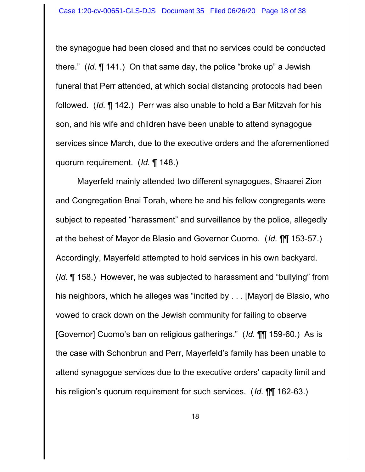the synagogue had been closed and that no services could be conducted there." (*Id.* ¶ 141.) On that same day, the police "broke up" a Jewish funeral that Perr attended, at which social distancing protocols had been followed. (*Id.* ¶ 142.) Perr was also unable to hold a Bar Mitzvah for his son, and his wife and children have been unable to attend synagogue services since March, due to the executive orders and the aforementioned quorum requirement. (*Id.* ¶ 148.)

Mayerfeld mainly attended two different synagogues, Shaarei Zion and Congregation Bnai Torah, where he and his fellow congregants were subject to repeated "harassment" and surveillance by the police, allegedly at the behest of Mayor de Blasio and Governor Cuomo. (*Id.* ¶¶ 153-57.) Accordingly, Mayerfeld attempted to hold services in his own backyard. (*Id.* ¶ 158.) However, he was subjected to harassment and "bullying" from his neighbors, which he alleges was "incited by . . . [Mayor] de Blasio, who vowed to crack down on the Jewish community for failing to observe [Governor] Cuomo's ban on religious gatherings." (*Id.* ¶¶ 159-60.) As is the case with Schonbrun and Perr, Mayerfeld's family has been unable to attend synagogue services due to the executive orders' capacity limit and his religion's quorum requirement for such services. (*Id.* ¶¶ 162-63.)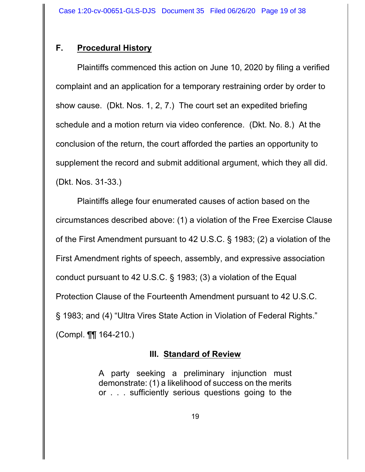# **F. Procedural History**

Plaintiffs commenced this action on June 10, 2020 by filing a verified complaint and an application for a temporary restraining order by order to show cause. (Dkt. Nos. 1, 2, 7.) The court set an expedited briefing schedule and a motion return via video conference. (Dkt. No. 8.) At the conclusion of the return, the court afforded the parties an opportunity to supplement the record and submit additional argument, which they all did. (Dkt. Nos. 31-33.)

Plaintiffs allege four enumerated causes of action based on the circumstances described above: (1) a violation of the Free Exercise Clause of the First Amendment pursuant to 42 U.S.C. § 1983; (2) a violation of the First Amendment rights of speech, assembly, and expressive association conduct pursuant to 42 U.S.C. § 1983; (3) a violation of the Equal Protection Clause of the Fourteenth Amendment pursuant to 42 U.S.C. § 1983; and (4) "Ultra Vires State Action in Violation of Federal Rights." (Compl. ¶¶ 164-210.)

## **III. Standard of Review**

A party seeking a preliminary injunction must demonstrate: (1) a likelihood of success on the merits or . . . sufficiently serious questions going to the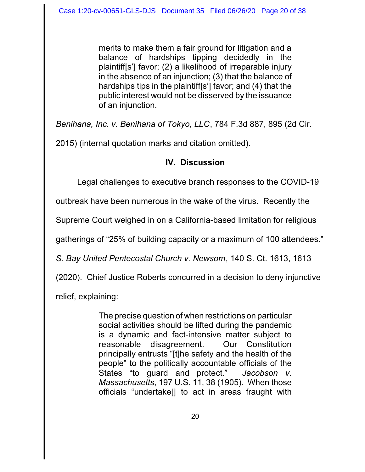merits to make them a fair ground for litigation and a balance of hardships tipping decidedly in the plaintiff[s'] favor; (2) a likelihood of irreparable injury in the absence of an injunction; (3) that the balance of hardships tips in the plaintiff[s'] favor; and (4) that the public interest would not be disserved by the issuance of an injunction.

*Benihana, Inc. v. Benihana of Tokyo, LLC*, 784 F.3d 887, 895 (2d Cir.

2015) (internal quotation marks and citation omitted).

# **IV. Discussion**

Legal challenges to executive branch responses to the COVID-19

outbreak have been numerous in the wake of the virus. Recently the

Supreme Court weighed in on a California-based limitation for religious

gatherings of "25% of building capacity or a maximum of 100 attendees."

*S. Bay United Pentecostal Church v. Newsom*, 140 S. Ct. 1613, 1613

(2020). Chief Justice Roberts concurred in a decision to deny injunctive

relief, explaining:

The precise question of when restrictions on particular social activities should be lifted during the pandemic is a dynamic and fact-intensive matter subject to reasonable disagreement. Our Constitution principally entrusts "[t]he safety and the health of the people" to the politically accountable officials of the States "to guard and protect." *Jacobson v. Massachusetts*, 197 U.S. 11, 38 (1905). When those officials "undertake[] to act in areas fraught with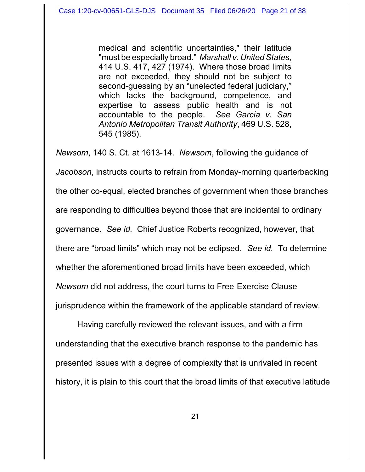medical and scientific uncertainties," their latitude "must be especially broad." *Marshall v. United States*, 414 U.S. 417, 427 (1974). Where those broad limits are not exceeded, they should not be subject to second-guessing by an "unelected federal judiciary," which lacks the background, competence, and expertise to assess public health and is not accountable to the people. *See Garcia v. San Antonio Metropolitan Transit Authority*, 469 U.S. 528, 545 (1985).

*Newsom*, 140 S. Ct. at 1613-14. *Newsom*, following the guidance of *Jacobson*, instructs courts to refrain from Monday-morning quarterbacking the other co-equal, elected branches of government when those branches are responding to difficulties beyond those that are incidental to ordinary governance. *See id.* Chief Justice Roberts recognized, however, that there are "broad limits" which may not be eclipsed. *See id.* To determine whether the aforementioned broad limits have been exceeded, which *Newsom* did not address, the court turns to Free Exercise Clause jurisprudence within the framework of the applicable standard of review.

Having carefully reviewed the relevant issues, and with a firm understanding that the executive branch response to the pandemic has presented issues with a degree of complexity that is unrivaled in recent history, it is plain to this court that the broad limits of that executive latitude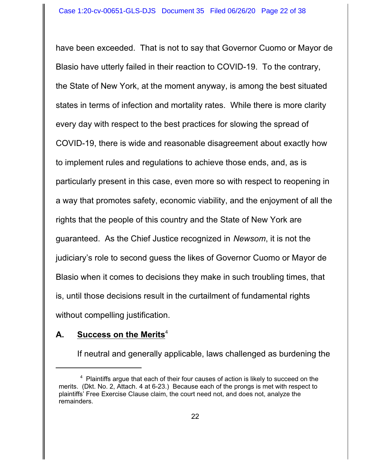have been exceeded. That is not to say that Governor Cuomo or Mayor de Blasio have utterly failed in their reaction to COVID-19. To the contrary, the State of New York, at the moment anyway, is among the best situated states in terms of infection and mortality rates. While there is more clarity every day with respect to the best practices for slowing the spread of COVID-19, there is wide and reasonable disagreement about exactly how to implement rules and regulations to achieve those ends, and, as is particularly present in this case, even more so with respect to reopening in a way that promotes safety, economic viability, and the enjoyment of all the rights that the people of this country and the State of New York are guaranteed. As the Chief Justice recognized in *Newsom*, it is not the judiciary's role to second guess the likes of Governor Cuomo or Mayor de Blasio when it comes to decisions they make in such troubling times, that is, until those decisions result in the curtailment of fundamental rights without compelling justification.

## **A. Success on the Merits**<sup>4</sup>

If neutral and generally applicable, laws challenged as burdening the

 $4$  Plaintiffs argue that each of their four causes of action is likely to succeed on the merits. (Dkt. No. 2, Attach. 4 at 6-23.) Because each of the prongs is met with respect to plaintiffs' Free Exercise Clause claim, the court need not, and does not, analyze the remainders.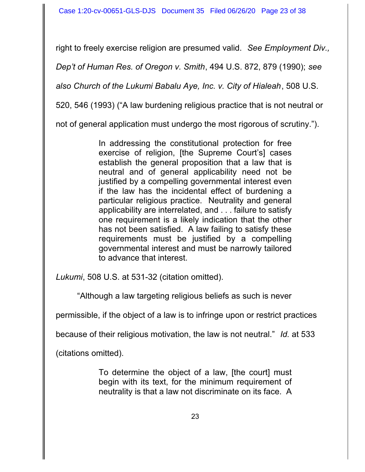right to freely exercise religion are presumed valid. *See Employment Div.,*

*Dep't of Human Res. of Oregon v. Smith*, 494 U.S. 872, 879 (1990); *see*

*also Church of the Lukumi Babalu Aye, Inc. v. City of Hialeah*, 508 U.S.

520, 546 (1993) ("A law burdening religious practice that is not neutral or

not of general application must undergo the most rigorous of scrutiny.").

In addressing the constitutional protection for free exercise of religion, [the Supreme Court's] cases establish the general proposition that a law that is neutral and of general applicability need not be justified by a compelling governmental interest even if the law has the incidental effect of burdening a particular religious practice. Neutrality and general applicability are interrelated, and . . . failure to satisfy one requirement is a likely indication that the other has not been satisfied. A law failing to satisfy these requirements must be justified by a compelling governmental interest and must be narrowly tailored to advance that interest.

*Lukumi*, 508 U.S. at 531-32 (citation omitted).

"Although a law targeting religious beliefs as such is never

permissible, if the object of a law is to infringe upon or restrict practices

because of their religious motivation, the law is not neutral." *Id.* at 533

(citations omitted).

To determine the object of a law, [the court] must begin with its text, for the minimum requirement of neutrality is that a law not discriminate on its face. A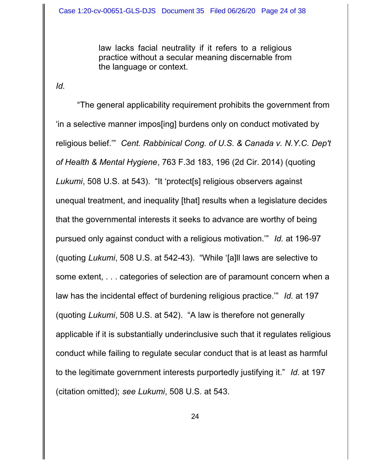law lacks facial neutrality if it refers to a religious practice without a secular meaning discernable from the language or context.

*Id.*

"The general applicability requirement prohibits the government from 'in a selective manner impos[ing] burdens only on conduct motivated by religious belief.'" *Cent. Rabbinical Cong. of U.S. & Canada v. N.Y.C. Dep't of Health & Mental Hygiene*, 763 F.3d 183, 196 (2d Cir. 2014) (quoting *Lukumi*, 508 U.S. at 543). "It 'protect[s] religious observers against unequal treatment, and inequality [that] results when a legislature decides that the governmental interests it seeks to advance are worthy of being pursued only against conduct with a religious motivation.'" *Id.* at 196-97 (quoting *Lukumi*, 508 U.S. at 542-43). "While '[a]ll laws are selective to some extent, . . . categories of selection are of paramount concern when a law has the incidental effect of burdening religious practice.'" *Id.* at 197 (quoting *Lukumi*, 508 U.S. at 542). "A law is therefore not generally applicable if it is substantially underinclusive such that it regulates religious conduct while failing to regulate secular conduct that is at least as harmful to the legitimate government interests purportedly justifying it." *Id.* at 197 (citation omitted); *see Lukumi*, 508 U.S. at 543.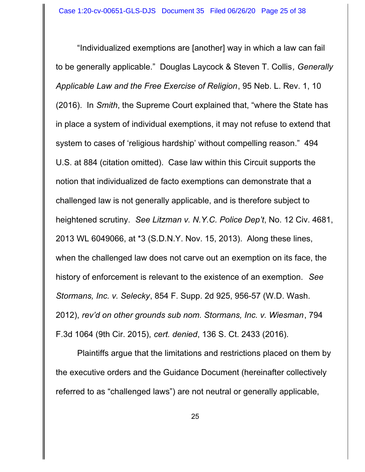"Individualized exemptions are [another] way in which a law can fail to be generally applicable." Douglas Laycock & Steven T. Collis*, Generally Applicable Law and the Free Exercise of Religion*, 95 Neb. L. Rev. 1, 10 (2016). In *Smith*, the Supreme Court explained that, "where the State has in place a system of individual exemptions, it may not refuse to extend that system to cases of 'religious hardship' without compelling reason." 494 U.S. at 884 (citation omitted). Case law within this Circuit supports the notion that individualized de facto exemptions can demonstrate that a challenged law is not generally applicable, and is therefore subject to heightened scrutiny. *See Litzman v. N.Y.C. Police Dep't*, No. 12 Civ. 4681, 2013 WL 6049066, at \*3 (S.D.N.Y. Nov. 15, 2013). Along these lines, when the challenged law does not carve out an exemption on its face, the history of enforcement is relevant to the existence of an exemption. *See Stormans, Inc. v. Selecky*, 854 F. Supp. 2d 925, 956-57 (W.D. Wash. 2012), *rev'd on other grounds sub nom. Stormans, Inc. v. Wiesman*, 794 F.3d 1064 (9th Cir. 2015), *cert. denied*, 136 S. Ct. 2433 (2016).

Plaintiffs argue that the limitations and restrictions placed on them by the executive orders and the Guidance Document (hereinafter collectively referred to as "challenged laws") are not neutral or generally applicable,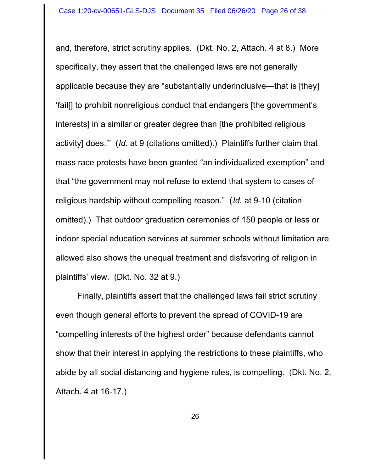and, therefore, strict scrutiny applies. (Dkt. No. 2, Attach. 4 at 8.) More specifically, they assert that the challenged laws are not generally applicable because they are "substantially underinclusive—that is [they] 'fail[] to prohibit nonreligious conduct that endangers [the government's interests] in a similar or greater degree than [the prohibited religious activity] does.'" (*Id.* at 9 (citations omitted).) Plaintiffs further claim that mass race protests have been granted "an individualized exemption" and that "the government may not refuse to extend that system to cases of religious hardship without compelling reason." (*Id.* at 9-10 (citation omitted).) That outdoor graduation ceremonies of 150 people or less or indoor special education services at summer schools without limitation are allowed also shows the unequal treatment and disfavoring of religion in plaintiffs' view. (Dkt. No. 32 at 9.)

Finally, plaintiffs assert that the challenged laws fail strict scrutiny even though general efforts to prevent the spread of COVID-19 are "compelling interests of the highest order" because defendants cannot show that their interest in applying the restrictions to these plaintiffs, who abide by all social distancing and hygiene rules, is compelling. (Dkt. No. 2, Attach. 4 at 16-17.)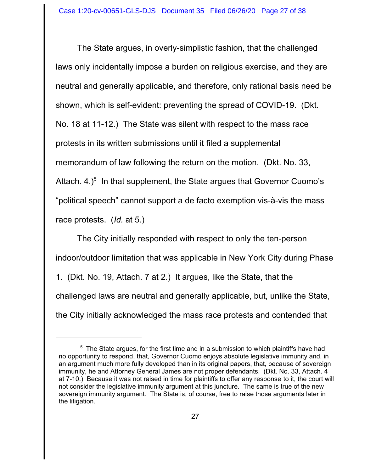The State argues, in overly-simplistic fashion, that the challenged laws only incidentally impose a burden on religious exercise, and they are neutral and generally applicable, and therefore, only rational basis need be shown, which is self-evident: preventing the spread of COVID-19. (Dkt. No. 18 at 11-12.) The State was silent with respect to the mass race protests in its written submissions until it filed a supplemental memorandum of law following the return on the motion. (Dkt. No. 33, Attach. 4.) $<sup>5</sup>$  In that supplement, the State argues that Governor Cuomo's</sup> "political speech" cannot support a de facto exemption vis-à-vis the mass race protests. (*Id.* at 5.)

The City initially responded with respect to only the ten-person indoor/outdoor limitation that was applicable in New York City during Phase 1. (Dkt. No. 19, Attach. 7 at 2.) It argues, like the State, that the challenged laws are neutral and generally applicable, but, unlike the State, the City initially acknowledged the mass race protests and contended that

 $5$  The State argues, for the first time and in a submission to which plaintiffs have had no opportunity to respond, that, Governor Cuomo enjoys absolute legislative immunity and, in an argument much more fully developed than in its original papers, that, because of sovereign immunity, he and Attorney General James are not proper defendants. (Dkt. No. 33, Attach. 4 at 7-10.) Because it was not raised in time for plaintiffs to offer any response to it, the court will not consider the legislative immunity argument at this juncture. The same is true of the new sovereign immunity argument. The State is, of course, free to raise those arguments later in the litigation.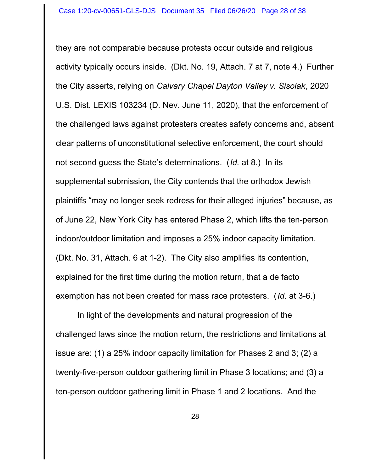they are not comparable because protests occur outside and religious activity typically occurs inside. (Dkt. No. 19, Attach. 7 at 7, note 4.) Further the City asserts, relying on *Calvary Chapel Dayton Valley v. Sisolak*, 2020 U.S. Dist. LEXIS 103234 (D. Nev. June 11, 2020), that the enforcement of the challenged laws against protesters creates safety concerns and, absent clear patterns of unconstitutional selective enforcement, the court should not second guess the State's determinations. (*Id.* at 8.) In its supplemental submission, the City contends that the orthodox Jewish plaintiffs "may no longer seek redress for their alleged injuries" because, as of June 22, New York City has entered Phase 2, which lifts the ten-person indoor/outdoor limitation and imposes a 25% indoor capacity limitation. (Dkt. No. 31, Attach. 6 at 1-2). The City also amplifies its contention, explained for the first time during the motion return, that a de facto exemption has not been created for mass race protesters. (*Id.* at 3-6.)

In light of the developments and natural progression of the challenged laws since the motion return, the restrictions and limitations at issue are: (1) a 25% indoor capacity limitation for Phases 2 and 3; (2) a twenty-five-person outdoor gathering limit in Phase 3 locations; and (3) a ten-person outdoor gathering limit in Phase 1 and 2 locations. And the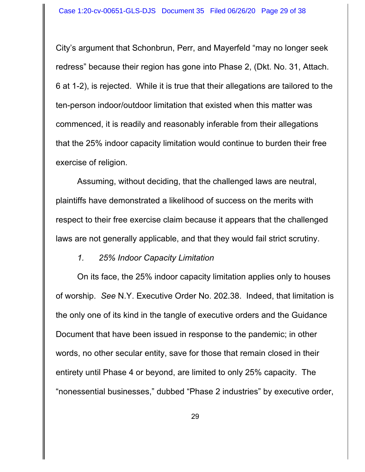City's argument that Schonbrun, Perr, and Mayerfeld "may no longer seek redress" because their region has gone into Phase 2, (Dkt. No. 31, Attach. 6 at 1-2), is rejected. While it is true that their allegations are tailored to the ten-person indoor/outdoor limitation that existed when this matter was commenced, it is readily and reasonably inferable from their allegations that the 25% indoor capacity limitation would continue to burden their free exercise of religion.

Assuming, without deciding, that the challenged laws are neutral, plaintiffs have demonstrated a likelihood of success on the merits with respect to their free exercise claim because it appears that the challenged laws are not generally applicable, and that they would fail strict scrutiny.

*1. 25% Indoor Capacity Limitation*

On its face, the 25% indoor capacity limitation applies only to houses of worship. *See* N.Y. Executive Order No. 202.38. Indeed, that limitation is the only one of its kind in the tangle of executive orders and the Guidance Document that have been issued in response to the pandemic; in other words, no other secular entity, save for those that remain closed in their entirety until Phase 4 or beyond, are limited to only 25% capacity. The "nonessential businesses," dubbed "Phase 2 industries" by executive order,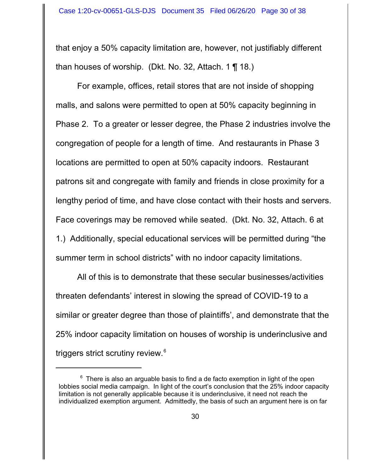that enjoy a 50% capacity limitation are, however, not justifiably different than houses of worship. (Dkt. No. 32, Attach. 1  $\P$  18.)

For example, offices, retail stores that are not inside of shopping malls, and salons were permitted to open at 50% capacity beginning in Phase 2. To a greater or lesser degree, the Phase 2 industries involve the congregation of people for a length of time. And restaurants in Phase 3 locations are permitted to open at 50% capacity indoors. Restaurant patrons sit and congregate with family and friends in close proximity for a lengthy period of time, and have close contact with their hosts and servers. Face coverings may be removed while seated. (Dkt. No. 32, Attach. 6 at 1.) Additionally, special educational services will be permitted during "the summer term in school districts" with no indoor capacity limitations.

All of this is to demonstrate that these secular businesses/activities threaten defendants' interest in slowing the spread of COVID-19 to a similar or greater degree than those of plaintiffs', and demonstrate that the 25% indoor capacity limitation on houses of worship is underinclusive and triggers strict scrutiny review.<sup>6</sup>

 $^6\,$  There is also an arguable basis to find a de facto exemption in light of the open lobbies social media campaign. In light of the court's conclusion that the 25% indoor capacity limitation is not generally applicable because it is underinclusive, it need not reach the individualized exemption argument. Admittedly, the basis of such an argument here is on far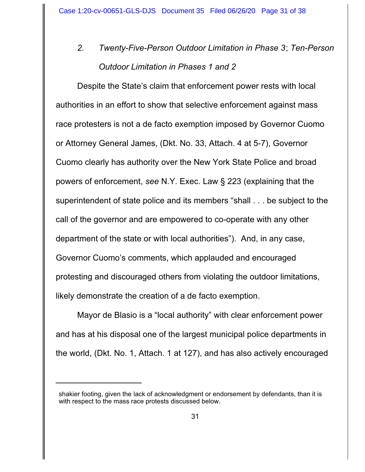*2. Twenty-Five-Person Outdoor Limitation in Phase 3*; *Ten-Person Outdoor Limitation in Phases 1 and 2*

Despite the State's claim that enforcement power rests with local authorities in an effort to show that selective enforcement against mass race protesters is not a de facto exemption imposed by Governor Cuomo or Attorney General James, (Dkt. No. 33, Attach. 4 at 5-7), Governor Cuomo clearly has authority over the New York State Police and broad powers of enforcement, *see* N.Y. Exec. Law § 223 (explaining that the superintendent of state police and its members "shall . . . be subject to the call of the governor and are empowered to co-operate with any other department of the state or with local authorities"). And, in any case, Governor Cuomo's comments, which applauded and encouraged protesting and discouraged others from violating the outdoor limitations, likely demonstrate the creation of a de facto exemption.

Mayor de Blasio is a "local authority" with clear enforcement power and has at his disposal one of the largest municipal police departments in the world, (Dkt. No. 1, Attach. 1 at 127), and has also actively encouraged

shakier footing, given the lack of acknowledgment or endorsement by defendants, than it is with respect to the mass race protests discussed below.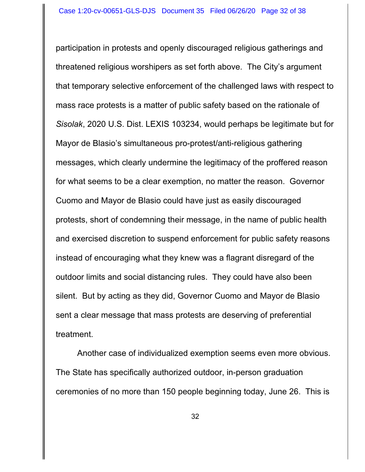participation in protests and openly discouraged religious gatherings and threatened religious worshipers as set forth above. The City's argument that temporary selective enforcement of the challenged laws with respect to mass race protests is a matter of public safety based on the rationale of *Sisolak*, 2020 U.S. Dist. LEXIS 103234, would perhaps be legitimate but for Mayor de Blasio's simultaneous pro-protest/anti-religious gathering messages, which clearly undermine the legitimacy of the proffered reason for what seems to be a clear exemption, no matter the reason. Governor Cuomo and Mayor de Blasio could have just as easily discouraged protests, short of condemning their message, in the name of public health and exercised discretion to suspend enforcement for public safety reasons instead of encouraging what they knew was a flagrant disregard of the outdoor limits and social distancing rules. They could have also been silent. But by acting as they did, Governor Cuomo and Mayor de Blasio sent a clear message that mass protests are deserving of preferential treatment.

Another case of individualized exemption seems even more obvious. The State has specifically authorized outdoor, in-person graduation ceremonies of no more than 150 people beginning today, June 26. This is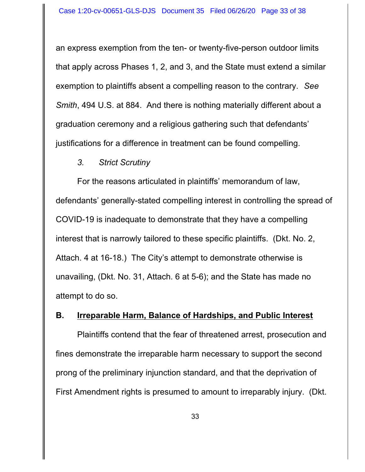an express exemption from the ten- or twenty-five-person outdoor limits that apply across Phases 1, 2, and 3, and the State must extend a similar exemption to plaintiffs absent a compelling reason to the contrary. *See Smith*, 494 U.S. at 884. And there is nothing materially different about a graduation ceremony and a religious gathering such that defendants' justifications for a difference in treatment can be found compelling.

#### *3. Strict Scrutiny*

For the reasons articulated in plaintiffs' memorandum of law, defendants' generally-stated compelling interest in controlling the spread of COVID-19 is inadequate to demonstrate that they have a compelling interest that is narrowly tailored to these specific plaintiffs. (Dkt. No. 2, Attach. 4 at 16-18.) The City's attempt to demonstrate otherwise is unavailing, (Dkt. No. 31, Attach. 6 at 5-6); and the State has made no attempt to do so.

#### **B. Irreparable Harm, Balance of Hardships, and Public Interest**

Plaintiffs contend that the fear of threatened arrest, prosecution and fines demonstrate the irreparable harm necessary to support the second prong of the preliminary injunction standard, and that the deprivation of First Amendment rights is presumed to amount to irreparably injury. (Dkt.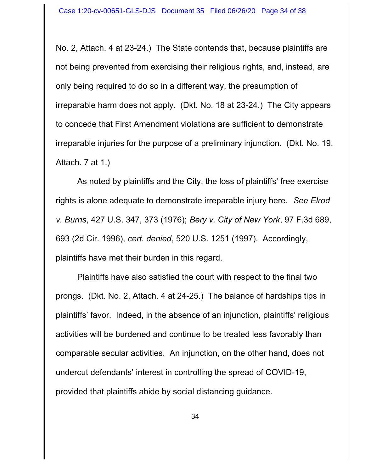No. 2, Attach. 4 at 23-24.) The State contends that, because plaintiffs are not being prevented from exercising their religious rights, and, instead, are only being required to do so in a different way, the presumption of irreparable harm does not apply. (Dkt. No. 18 at 23-24.) The City appears to concede that First Amendment violations are sufficient to demonstrate irreparable injuries for the purpose of a preliminary injunction. (Dkt. No. 19, Attach. 7 at 1.)

As noted by plaintiffs and the City, the loss of plaintiffs' free exercise rights is alone adequate to demonstrate irreparable injury here. *See Elrod v. Burns*, 427 U.S. 347, 373 (1976); *Bery v. City of New York*, 97 F.3d 689, 693 (2d Cir. 1996), *cert. denied*, 520 U.S. 1251 (1997). Accordingly, plaintiffs have met their burden in this regard.

Plaintiffs have also satisfied the court with respect to the final two prongs. (Dkt. No. 2, Attach. 4 at 24-25.) The balance of hardships tips in plaintiffs' favor. Indeed, in the absence of an injunction, plaintiffs' religious activities will be burdened and continue to be treated less favorably than comparable secular activities. An injunction, on the other hand, does not undercut defendants' interest in controlling the spread of COVID-19, provided that plaintiffs abide by social distancing guidance.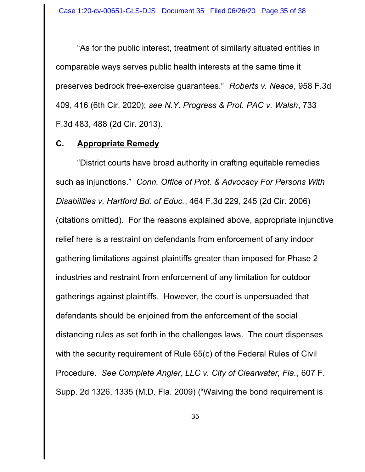"As for the public interest, treatment of similarly situated entities in comparable ways serves public health interests at the same time it preserves bedrock free-exercise guarantees." *Roberts v. Neace*, 958 F.3d 409, 416 (6th Cir. 2020); *see N.Y. Progress & Prot. PAC v. Walsh*, 733 F.3d 483, 488 (2d Cir. 2013).

#### **C. Appropriate Remedy**

"District courts have broad authority in crafting equitable remedies such as injunctions." *Conn. Office of Prot. & Advocacy For Persons With Disabilities v. Hartford Bd. of Educ.*, 464 F.3d 229, 245 (2d Cir. 2006) (citations omitted). For the reasons explained above, appropriate injunctive relief here is a restraint on defendants from enforcement of any indoor gathering limitations against plaintiffs greater than imposed for Phase 2 industries and restraint from enforcement of any limitation for outdoor gatherings against plaintiffs. However, the court is unpersuaded that defendants should be enjoined from the enforcement of the social distancing rules as set forth in the challenges laws. The court dispenses with the security requirement of Rule 65(c) of the Federal Rules of Civil Procedure. *See Complete Angler, LLC v. City of Clearwater, Fla.*, 607 F. Supp. 2d 1326, 1335 (M.D. Fla. 2009) ("Waiving the bond requirement is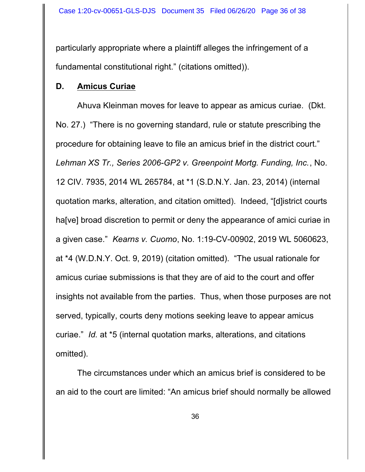particularly appropriate where a plaintiff alleges the infringement of a fundamental constitutional right." (citations omitted)).

#### **D. Amicus Curiae**

Ahuva Kleinman moves for leave to appear as amicus curiae. (Dkt. No. 27.) "There is no governing standard, rule or statute prescribing the procedure for obtaining leave to file an amicus brief in the district court." *Lehman XS Tr., Series 2006-GP2 v. Greenpoint Mortg. Funding, Inc.*, No. 12 CIV. 7935, 2014 WL 265784, at \*1 (S.D.N.Y. Jan. 23, 2014) (internal quotation marks, alteration, and citation omitted). Indeed, "[d]istrict courts ha[ve] broad discretion to permit or deny the appearance of amici curiae in a given case." *Kearns v. Cuomo*, No. 1:19-CV-00902, 2019 WL 5060623, at \*4 (W.D.N.Y. Oct. 9, 2019) (citation omitted). "The usual rationale for amicus curiae submissions is that they are of aid to the court and offer insights not available from the parties. Thus, when those purposes are not served, typically, courts deny motions seeking leave to appear amicus curiae." *Id.* at \*5 (internal quotation marks, alterations, and citations omitted).

The circumstances under which an amicus brief is considered to be an aid to the court are limited: "An amicus brief should normally be allowed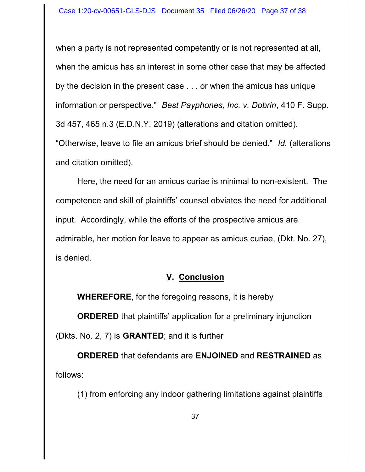when a party is not represented competently or is not represented at all, when the amicus has an interest in some other case that may be affected by the decision in the present case . . . or when the amicus has unique information or perspective." *Best Payphones, Inc. v. Dobrin*, 410 F. Supp. 3d 457, 465 n.3 (E.D.N.Y. 2019) (alterations and citation omitted). "Otherwise, leave to file an amicus brief should be denied." *Id.* (alterations and citation omitted).

Here, the need for an amicus curiae is minimal to non-existent. The competence and skill of plaintiffs' counsel obviates the need for additional input. Accordingly, while the efforts of the prospective amicus are admirable, her motion for leave to appear as amicus curiae, (Dkt. No. 27), is denied.

## **V. Conclusion**

**WHEREFORE**, for the foregoing reasons, it is hereby

**ORDERED** that plaintiffs' application for a preliminary injunction (Dkts. No. 2, 7) is **GRANTED**; and it is further

**ORDERED** that defendants are **ENJOINED** and **RESTRAINED** as follows:

(1) from enforcing any indoor gathering limitations against plaintiffs